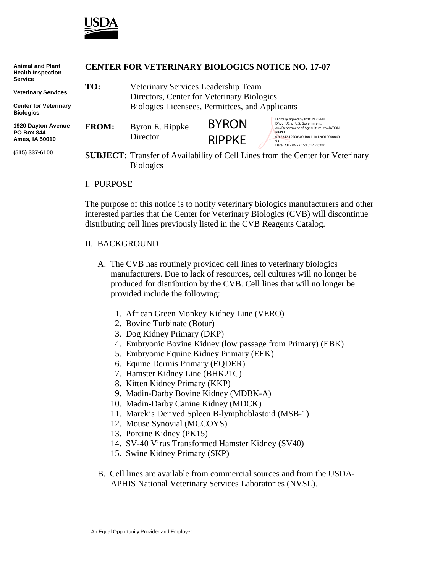

| <b>Animal and Plant</b><br><b>Health Inspection</b><br><b>Service</b> | <b>CENTER FOR VETERINARY BIOLOGICS NOTICE NO. 17-07</b>                               |                                                 |               |                                                                                                                                                                 |
|-----------------------------------------------------------------------|---------------------------------------------------------------------------------------|-------------------------------------------------|---------------|-----------------------------------------------------------------------------------------------------------------------------------------------------------------|
|                                                                       | TO:                                                                                   | Veterinary Services Leadership Team             |               |                                                                                                                                                                 |
| <b>Veterinary Services</b>                                            |                                                                                       | Directors, Center for Veterinary Biologics      |               |                                                                                                                                                                 |
| <b>Center for Veterinary</b><br><b>Biologics</b>                      |                                                                                       | Biologics Licensees, Permittees, and Applicants |               |                                                                                                                                                                 |
| 1920 Dayton Avenue<br><b>PO Box 844</b><br>Ames, IA 50010             | <b>FROM:</b>                                                                          | Byron E. Rippke<br>Director                     | <b>BYRON</b>  | Digitally signed by BYRON RIPPKE<br>DN: c=US, o=U.S. Government,<br>ou=Department of Agriculture, cn=BYRON<br>RIPPKE.<br>0.9.2342.19200300.100.1.1=120010000040 |
|                                                                       |                                                                                       |                                                 | <b>RIPPKE</b> |                                                                                                                                                                 |
|                                                                       |                                                                                       |                                                 |               | 93<br>Date: 2017.06.27 15:15:17 -05'00'                                                                                                                         |
| (515) 337-6100                                                        | <b>SUBJECT:</b> Transfer of Availability of Cell Lines from the Center for Veterinary |                                                 |               |                                                                                                                                                                 |
|                                                                       |                                                                                       | <b>Biologics</b>                                |               |                                                                                                                                                                 |
|                                                                       |                                                                                       |                                                 |               |                                                                                                                                                                 |

## I. PURPOSE

The purpose of this notice is to notify veterinary biologics manufacturers and other interested parties that the Center for Veterinary Biologics (CVB) will discontinue distributing cell lines previously listed in the CVB Reagents Catalog.

## II. BACKGROUND

- A. The CVB has routinely provided cell lines to veterinary biologics manufacturers. Due to lack of resources, cell cultures will no longer be produced for distribution by the CVB. Cell lines that will no longer be provided include the following:
	- 1. African Green Monkey Kidney Line (VERO)
	- 2. Bovine Turbinate (Botur)
	- 3. Dog Kidney Primary (DKP)
	- 4. Embryonic Bovine Kidney (low passage from Primary) (EBK)
	- 5. Embryonic Equine Kidney Primary (EEK)
	- 6. Equine Dermis Primary (EQDER)
	- 7. Hamster Kidney Line (BHK21C)
	- 8. Kitten Kidney Primary (KKP)
	- 9. Madin-Darby Bovine Kidney (MDBK-A)
	- 10. Madin-Darby Canine Kidney (MDCK)
	- 11. Marek's Derived Spleen B-lymphoblastoid (MSB-1)
	- 12. Mouse Synovial (MCCOYS)
	- 13. Porcine Kidney (PK15)
	- 14. SV-40 Virus Transformed Hamster Kidney (SV40)
	- 15. Swine Kidney Primary (SKP)
- B. Cell lines are available from commercial sources and from the USDA-APHIS National Veterinary Services Laboratories (NVSL).